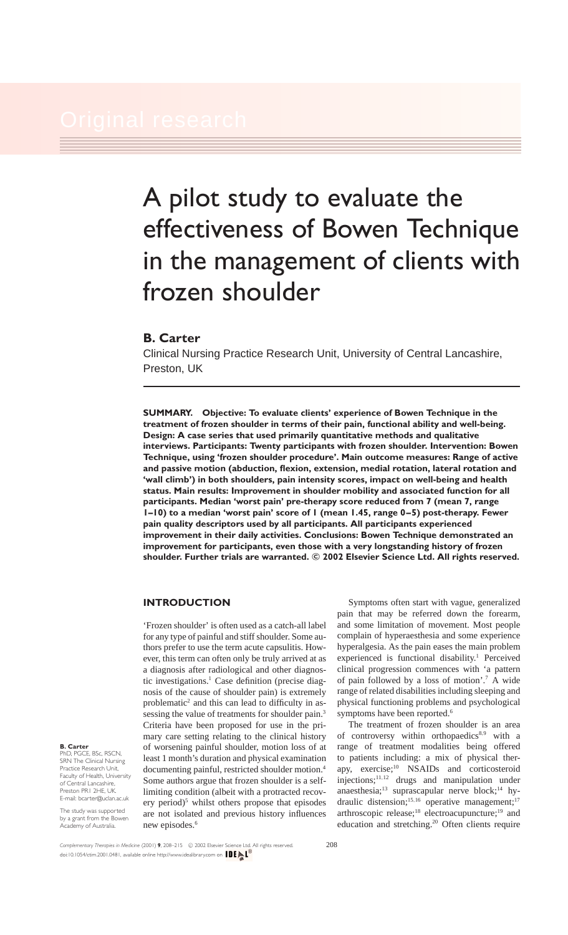# A pilot study to evaluate the effectiveness of Bowen Technique in the management of clients with frozen shoulder

# **B. Carter**

Clinical Nursing Practice Research Unit, University of Central Lancashire, Preston, UK

**SUMMARY. Objective: To evaluate clients' experience of Bowen Technique in the treatment of frozen shoulder in terms of their pain, functional ability and well-being. Design: A case series that used primarily quantitative methods and qualitative interviews. Participants: Twenty participants with frozen shoulder. Intervention: Bowen Technique, using 'frozen shoulder procedure'. Main outcome measures: Range of active and passive motion (abduction, flexion, extension, medial rotation, lateral rotation and 'wall climb') in both shoulders, pain intensity scores, impact on well-being and health status. Main results: Improvement in shoulder mobility and associated function for all participants. Median 'worst pain' pre-therapy score reduced from 7 (mean 7, range 1–10) to a median 'worst pain' score of 1 (mean 1.45, range 0–5) post-therapy. Fewer pain quality descriptors used by all participants. All participants experienced improvement in their daily activities. Conclusions: Bowen Technique demonstrated an improvement for participants, even those with a very longstanding history of frozen shoulder. Further trials are warranted.** *°***<sup>C</sup> 2002 Elsevier Science Ltd. All rights reserved.**

# **INTRODUCTION**

'Frozen shoulder' is often used as a catch-all label for any type of painful and stiff shoulder. Some authors prefer to use the term acute capsulitis. However, this term can often only be truly arrived at as a diagnosis after radiological and other diagnostic investigations.<sup>1</sup> Case definition (precise diagnosis of the cause of shoulder pain) is extremely problematic<sup>2</sup> and this can lead to difficulty in assessing the value of treatments for shoulder pain.<sup>3</sup> Criteria have been proposed for use in the primary care setting relating to the clinical history of worsening painful shoulder, motion loss of at least 1 month's duration and physical examination documenting painful, restricted shoulder motion.4 Some authors argue that frozen shoulder is a selflimiting condition (albeit with a protracted recovery period) $5$  whilst others propose that episodes are not isolated and previous history influences new episodes.<sup>6</sup>

Symptoms often start with vague, generalized pain that may be referred down the forearm, and some limitation of movement. Most people complain of hyperaesthesia and some experience hyperalgesia. As the pain eases the main problem experienced is functional disability.<sup>1</sup> Perceived clinical progression commences with 'a pattern of pain followed by a loss of motion'.7 A wide range of related disabilities including sleeping and physical functioning problems and psychological symptoms have been reported.<sup>6</sup>

The treatment of frozen shoulder is an area of controversy within orthopaedics<sup>8,9</sup> with a range of treatment modalities being offered to patients including: a mix of physical therapy, exercise;<sup>10</sup> NSAIDs and corticosteroid injections;<sup>11,12</sup> drugs and manipulation under anaesthesia;<sup>13</sup> suprascapular nerve block;<sup>14</sup> hydraulic distension;<sup>15,16</sup> operative management;<sup>17</sup> arthroscopic release;<sup>18</sup> electroacupuncture;<sup>19</sup> and education and stretching.<sup>20</sup> Often clients require

# **B. Carter**

PhD, PGCE, BSc, RSCN, SRN The Clinical Nursing Practice Research Unit, Faculty of Health, University of Central Lancashire, Preston PR1 2HE, UK. E-mail: bcarter@uclan.ac.uk

The study was supported by a grant from the Bowen Academy of Australia.

*Complementary Therapies in Medicine* (2001) **9**, 208–215 °<sup>C</sup> 2002 Elsevier Science Ltd. All rights reserved. 208 doi:10.1054/ctim.2001.0481, available online http://www.idealibrary.com on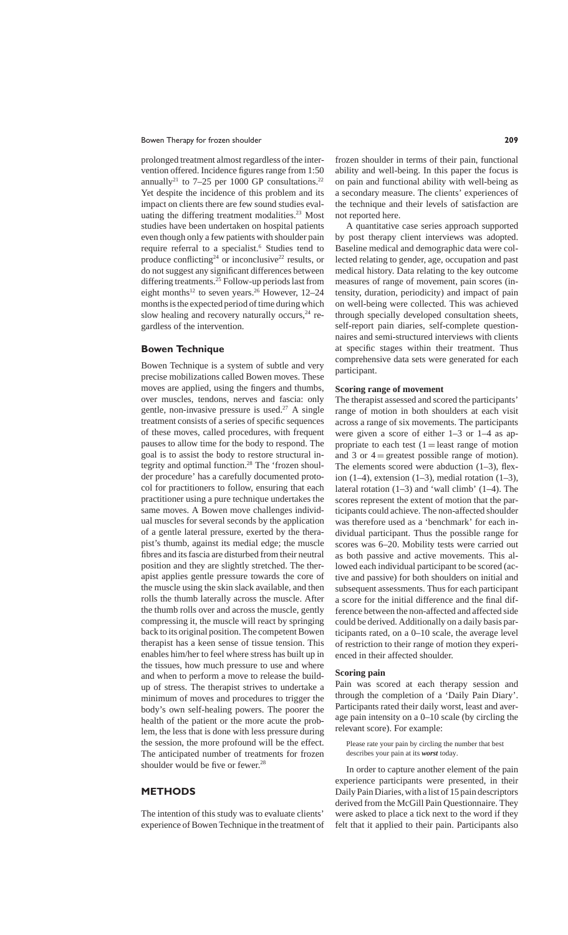#### Bowen Therapy for frozen shoulder **209**

prolonged treatment almost regardless of the intervention offered. Incidence figures range from 1:50 annually<sup>21</sup> to 7-25 per 1000 GP consultations.<sup>22</sup> Yet despite the incidence of this problem and its impact on clients there are few sound studies evaluating the differing treatment modalities.<sup>23</sup> Most studies have been undertaken on hospital patients even though only a few patients with shoulder pain require referral to a specialist.<sup>6</sup> Studies tend to produce conflicting<sup>24</sup> or inconclusive<sup>22</sup> results, or do not suggest any significant differences between differing treatments.<sup>25</sup> Follow-up periods last from eight months<sup>12</sup> to seven years.<sup>26</sup> However, 12–24 months is the expected period of time during which slow healing and recovery naturally occurs,<sup>24</sup> regardless of the intervention.

#### **Bowen Technique**

Bowen Technique is a system of subtle and very precise mobilizations called Bowen moves. These moves are applied, using the fingers and thumbs, over muscles, tendons, nerves and fascia: only gentle, non-invasive pressure is used.<sup>27</sup> A single treatment consists of a series of specific sequences of these moves, called procedures, with frequent pauses to allow time for the body to respond. The goal is to assist the body to restore structural integrity and optimal function.28 The 'frozen shoulder procedure' has a carefully documented protocol for practitioners to follow, ensuring that each practitioner using a pure technique undertakes the same moves. A Bowen move challenges individual muscles for several seconds by the application of a gentle lateral pressure, exerted by the therapist's thumb, against its medial edge; the muscle fibres and its fascia are disturbed from their neutral position and they are slightly stretched. The therapist applies gentle pressure towards the core of the muscle using the skin slack available, and then rolls the thumb laterally across the muscle. After the thumb rolls over and across the muscle, gently compressing it, the muscle will react by springing back to its original position. The competent Bowen therapist has a keen sense of tissue tension. This enables him/her to feel where stress has built up in the tissues, how much pressure to use and where and when to perform a move to release the buildup of stress. The therapist strives to undertake a minimum of moves and procedures to trigger the body's own self-healing powers. The poorer the health of the patient or the more acute the problem, the less that is done with less pressure during the session, the more profound will be the effect. The anticipated number of treatments for frozen shoulder would be five or fewer.<sup>28</sup>

# **METHODS**

The intention of this study was to evaluate clients' experience of Bowen Technique in the treatment of frozen shoulder in terms of their pain, functional ability and well-being. In this paper the focus is on pain and functional ability with well-being as a secondary measure. The clients' experiences of the technique and their levels of satisfaction are not reported here.

A quantitative case series approach supported by post therapy client interviews was adopted. Baseline medical and demographic data were collected relating to gender, age, occupation and past medical history. Data relating to the key outcome measures of range of movement, pain scores (intensity, duration, periodicity) and impact of pain on well-being were collected. This was achieved through specially developed consultation sheets, self-report pain diaries, self-complete questionnaires and semi-structured interviews with clients at specific stages within their treatment. Thus comprehensive data sets were generated for each participant.

#### **Scoring range of movement**

The therapist assessed and scored the participants' range of motion in both shoulders at each visit across a range of six movements. The participants were given a score of either 1–3 or 1–4 as appropriate to each test  $(1 =$  least range of motion and 3 or  $4 =$  greatest possible range of motion). The elements scored were abduction (1–3), flexion (1–4), extension (1–3), medial rotation (1–3), lateral rotation (1–3) and 'wall climb' (1–4). The scores represent the extent of motion that the participants could achieve. The non-affected shoulder was therefore used as a 'benchmark' for each individual participant. Thus the possible range for scores was 6–20. Mobility tests were carried out as both passive and active movements. This allowed each individual participant to be scored (active and passive) for both shoulders on initial and subsequent assessments. Thus for each participant a score for the initial difference and the final difference between the non-affected and affected side could be derived. Additionally on a daily basis participants rated, on a 0–10 scale, the average level of restriction to their range of motion they experienced in their affected shoulder.

#### **Scoring pain**

Pain was scored at each therapy session and through the completion of a 'Daily Pain Diary'. Participants rated their daily worst, least and average pain intensity on a 0–10 scale (by circling the relevant score). For example:

Please rate your pain by circling the number that best describes your pain at its *worst* today.

In order to capture another element of the pain experience participants were presented, in their Daily Pain Diaries, with a list of 15 pain descriptors derived from the McGill Pain Questionnaire. They were asked to place a tick next to the word if they felt that it applied to their pain. Participants also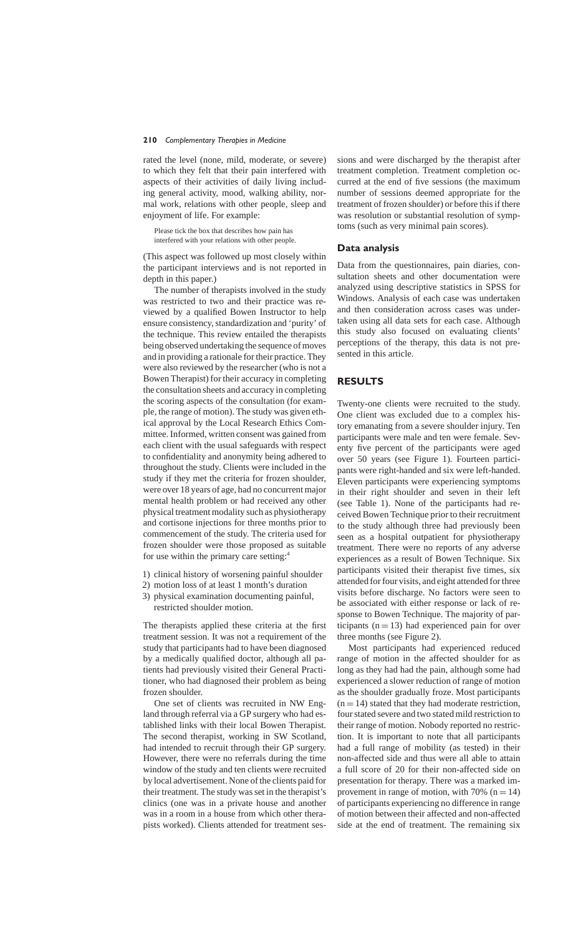#### **210** *Complementary Therapies in Medicine*

rated the level (none, mild, moderate, or severe) to which they felt that their pain interfered with aspects of their activities of daily living including general activity, mood, walking ability, normal work, relations with other people, sleep and enjoyment of life. For example:

Please tick the box that describes how pain has interfered with your relations with other people.

(This aspect was followed up most closely within the participant interviews and is not reported in depth in this paper.)

The number of therapists involved in the study was restricted to two and their practice was reviewed by a qualified Bowen Instructor to help ensure consistency, standardization and 'purity' of the technique. This review entailed the therapists being observed undertaking the sequence of moves and in providing a rationale for their practice. They were also reviewed by the researcher (who is not a Bowen Therapist) for their accuracy in completing the consultation sheets and accuracy in completing the scoring aspects of the consultation (for example, the range of motion). The study was given ethical approval by the Local Research Ethics Committee. Informed, written consent was gained from each client with the usual safeguards with respect to confidentiality and anonymity being adhered to throughout the study. Clients were included in the study if they met the criteria for frozen shoulder, were over 18 years of age, had no concurrent major mental health problem or had received any other physical treatment modality such as physiotherapy and cortisone injections for three months prior to commencement of the study. The criteria used for frozen shoulder were those proposed as suitable for use within the primary care setting:4

- 1) clinical history of worsening painful shoulder
- 2) motion loss of at least 1 month's duration

3) physical examination documenting painful, restricted shoulder motion.

The therapists applied these criteria at the first treatment session. It was not a requirement of the study that participants had to have been diagnosed by a medically qualified doctor, although all patients had previously visited their General Practitioner, who had diagnosed their problem as being frozen shoulder.

One set of clients was recruited in NW England through referral via a GP surgery who had established links with their local Bowen Therapist. The second therapist, working in SW Scotland, had intended to recruit through their GP surgery. However, there were no referrals during the time window of the study and ten clients were recruited by local advertisement. None of the clients paid for their treatment. The study was set in the therapist's clinics (one was in a private house and another was in a room in a house from which other therapists worked). Clients attended for treatment sessions and were discharged by the therapist after treatment completion. Treatment completion occurred at the end of five sessions (the maximum number of sessions deemed appropriate for the treatment of frozen shoulder) or before this if there was resolution or substantial resolution of symptoms (such as very minimal pain scores).

## **Data analysis**

Data from the questionnaires, pain diaries, consultation sheets and other documentation were analyzed using descriptive statistics in SPSS for Windows. Analysis of each case was undertaken and then consideration across cases was undertaken using all data sets for each case. Although this study also focused on evaluating clients' perceptions of the therapy, this data is not presented in this article.

#### **RESULTS**

Twenty-one clients were recruited to the study. One client was excluded due to a complex history emanating from a severe shoulder injury. Ten participants were male and ten were female. Seventy five percent of the participants were aged over 50 years (see Figure 1). Fourteen participants were right-handed and six were left-handed. Eleven participants were experiencing symptoms in their right shoulder and seven in their left (see Table 1). None of the participants had received Bowen Technique prior to their recruitment to the study although three had previously been seen as a hospital outpatient for physiotherapy treatment. There were no reports of any adverse experiences as a result of Bowen Technique. Six participants visited their therapist five times, six attended for four visits, and eight attended for three visits before discharge. No factors were seen to be associated with either response or lack of response to Bowen Technique. The majority of participants  $(n = 13)$  had experienced pain for over three months (see Figure 2).

Most participants had experienced reduced range of motion in the affected shoulder for as long as they had had the pain, although some had experienced a slower reduction of range of motion as the shoulder gradually froze. Most participants  $(n = 14)$  stated that they had moderate restriction, four stated severe and two stated mild restriction to their range of motion. Nobody reported no restriction. It is important to note that all participants had a full range of mobility (as tested) in their non-affected side and thus were all able to attain a full score of 20 for their non-affected side on presentation for therapy. There was a marked improvement in range of motion, with 70%  $(n = 14)$ of participants experiencing no difference in range of motion between their affected and non-affected side at the end of treatment. The remaining six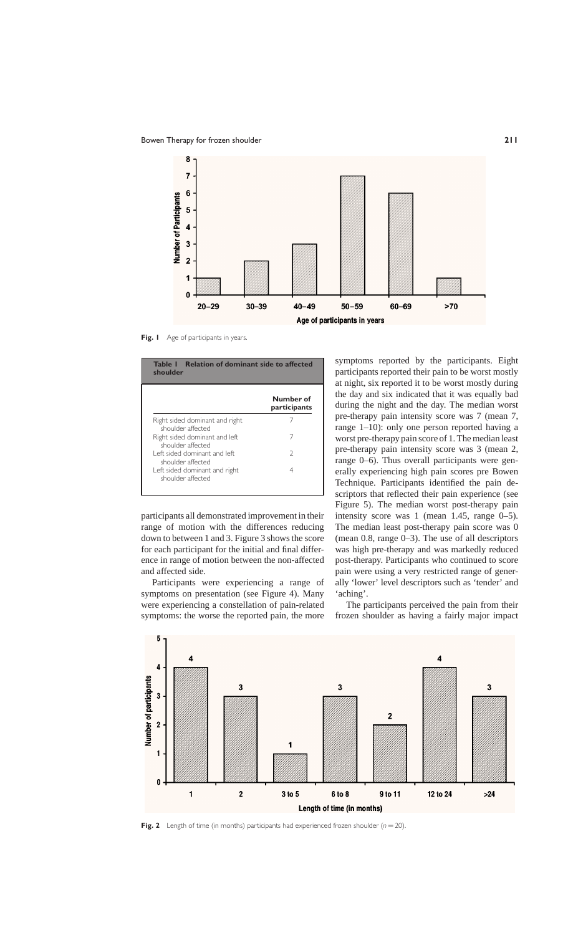

Fig. I Age of participants in years.

| <b>Relation of dominant side to affected</b><br>Table I<br>shoulder |                           |
|---------------------------------------------------------------------|---------------------------|
|                                                                     | Number of<br>participants |
| Right sided dominant and right<br>shoulder affected                 |                           |
| Right sided dominant and left<br>shoulder affected                  |                           |
| Left sided dominant and left<br>shoulder affected                   | V                         |
| Left sided dominant and right<br>shoulder affected                  |                           |

participants all demonstrated improvement in their range of motion with the differences reducing down to between 1 and 3. Figure 3 shows the score for each participant for the initial and final difference in range of motion between the non-affected and affected side.

Participants were experiencing a range of symptoms on presentation (see Figure 4). Many were experiencing a constellation of pain-related symptoms: the worse the reported pain, the more symptoms reported by the participants. Eight participants reported their pain to be worst mostly at night, six reported it to be worst mostly during the day and six indicated that it was equally bad during the night and the day. The median worst pre-therapy pain intensity score was 7 (mean 7, range 1–10): only one person reported having a worst pre-therapy pain score of 1. The median least pre-therapy pain intensity score was 3 (mean 2, range 0–6). Thus overall participants were generally experiencing high pain scores pre Bowen Technique. Participants identified the pain descriptors that reflected their pain experience (see Figure 5). The median worst post-therapy pain intensity score was 1 (mean 1.45, range 0–5). The median least post-therapy pain score was 0 (mean 0.8, range 0–3). The use of all descriptors was high pre-therapy and was markedly reduced post-therapy. Participants who continued to score pain were using a very restricted range of generally 'lower' level descriptors such as 'tender' and 'aching'.

The participants perceived the pain from their frozen shoulder as having a fairly major impact



**Fig. 2** Length of time (in months) participants had experienced frozen shoulder  $(n = 20)$ .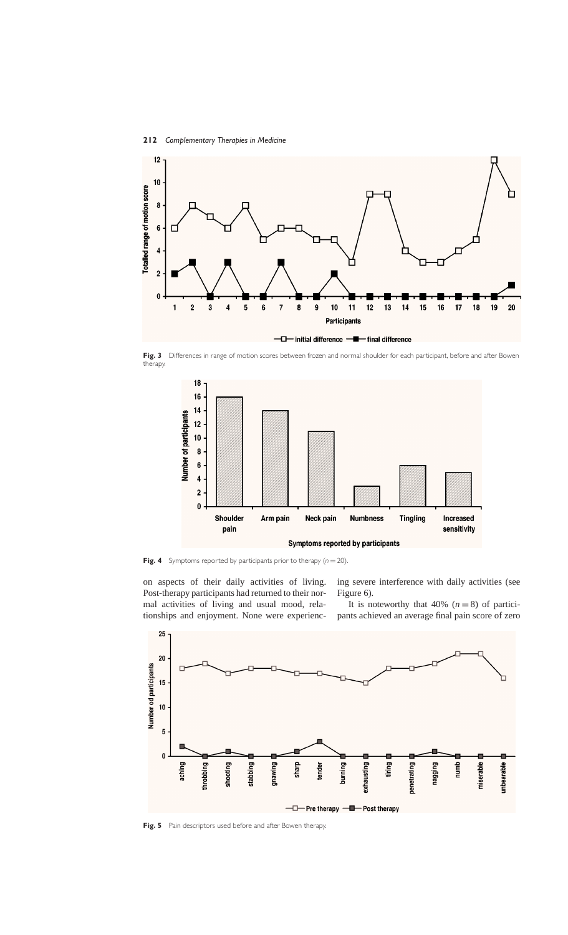# **212** *Complementary Therapies in Medicine*



Fig. 3 Differences in range of motion scores between frozen and normal shoulder for each participant, before and after Bowen therapy.



**Fig. 4** Symptoms reported by participants prior to therapy  $(n = 20)$ .

on aspects of their daily activities of living. Post-therapy participants had returned to their normal activities of living and usual mood, relationships and enjoyment. None were experiencing severe interference with daily activities (see Figure 6).

It is noteworthy that  $40\%$   $(n = 8)$  of participants achieved an average final pain score of zero



Fig. 5 Pain descriptors used before and after Bowen therapy.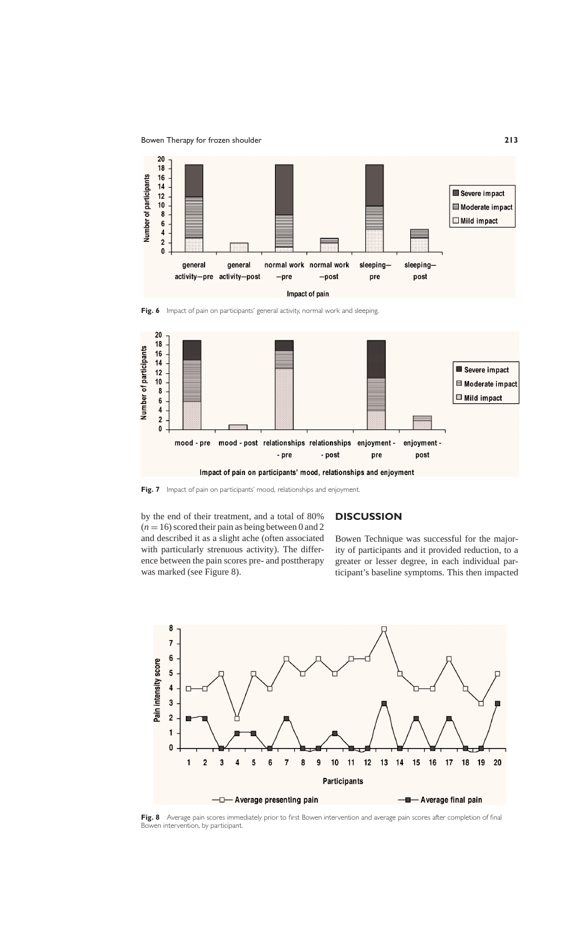Bowen Therapy for frozen shoulder **213**





Impact of pain on participants' mood, relationships and enjoyment

**Fig. 7** Impact of pain on participants' mood, relationships and enjoyment.

by the end of their treatment, and a total of 80%  $(n = 16)$  scored their pain as being between 0 and 2 and described it as a slight ache (often associated with particularly strenuous activity). The difference between the pain scores pre- and posttherapy was marked (see Figure 8).

## **DISCUSSION**

Bowen Technique was successful for the majority of participants and it provided reduction, to a greater or lesser degree, in each individual participant's baseline symptoms. This then impacted



**Fig. 8** Average pain scores immediately prior to first Bowen intervention and average pain scores after completion of final Bowen intervention, by participant.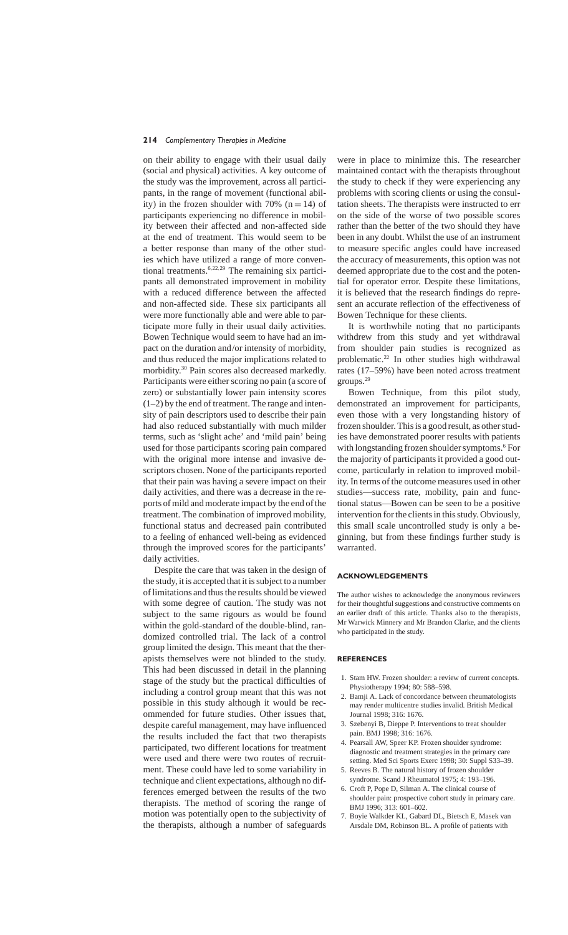#### **214** *Complementary Therapies in Medicine*

on their ability to engage with their usual daily (social and physical) activities. A key outcome of the study was the improvement, across all participants, in the range of movement (functional ability) in the frozen shoulder with 70%  $(n = 14)$  of participants experiencing no difference in mobility between their affected and non-affected side at the end of treatment. This would seem to be a better response than many of the other studies which have utilized a range of more conventional treatments.<sup>6,22,29</sup> The remaining six participants all demonstrated improvement in mobility with a reduced difference between the affected and non-affected side. These six participants all were more functionally able and were able to participate more fully in their usual daily activities. Bowen Technique would seem to have had an impact on the duration and/or intensity of morbidity, and thus reduced the major implications related to morbidity.30 Pain scores also decreased markedly. Participants were either scoring no pain (a score of zero) or substantially lower pain intensity scores (1–2) by the end of treatment. The range and intensity of pain descriptors used to describe their pain had also reduced substantially with much milder terms, such as 'slight ache' and 'mild pain' being used for those participants scoring pain compared with the original more intense and invasive descriptors chosen. None of the participants reported that their pain was having a severe impact on their daily activities, and there was a decrease in the reports of mild and moderate impact by the end of the treatment. The combination of improved mobility, functional status and decreased pain contributed to a feeling of enhanced well-being as evidenced through the improved scores for the participants' daily activities.

Despite the care that was taken in the design of the study, it is accepted that it is subject to a number of limitations and thus the results should be viewed with some degree of caution. The study was not subject to the same rigours as would be found within the gold-standard of the double-blind, randomized controlled trial. The lack of a control group limited the design. This meant that the therapists themselves were not blinded to the study. This had been discussed in detail in the planning stage of the study but the practical difficulties of including a control group meant that this was not possible in this study although it would be recommended for future studies. Other issues that, despite careful management, may have influenced the results included the fact that two therapists participated, two different locations for treatment were used and there were two routes of recruitment. These could have led to some variability in technique and client expectations, although no differences emerged between the results of the two therapists. The method of scoring the range of motion was potentially open to the subjectivity of the therapists, although a number of safeguards

were in place to minimize this. The researcher maintained contact with the therapists throughout the study to check if they were experiencing any problems with scoring clients or using the consultation sheets. The therapists were instructed to err on the side of the worse of two possible scores rather than the better of the two should they have been in any doubt. Whilst the use of an instrument to measure specific angles could have increased the accuracy of measurements, this option was not deemed appropriate due to the cost and the potential for operator error. Despite these limitations, it is believed that the research findings do represent an accurate reflection of the effectiveness of Bowen Technique for these clients.

It is worthwhile noting that no participants withdrew from this study and yet withdrawal from shoulder pain studies is recognized as problematic.22 In other studies high withdrawal rates (17–59%) have been noted across treatment groups.29

Bowen Technique, from this pilot study, demonstrated an improvement for participants, even those with a very longstanding history of frozen shoulder. This is a good result, as other studies have demonstrated poorer results with patients with longstanding frozen shoulder symptoms.<sup>6</sup> For the majority of participants it provided a good outcome, particularly in relation to improved mobility. In terms of the outcome measures used in other studies—success rate, mobility, pain and functional status—Bowen can be seen to be a positive intervention for the clients in this study. Obviously, this small scale uncontrolled study is only a beginning, but from these findings further study is warranted.

#### **ACKNOWLEDGEMENTS**

The author wishes to acknowledge the anonymous reviewers for their thoughtful suggestions and constructive comments on an earlier draft of this article. Thanks also to the therapists, Mr Warwick Minnery and Mr Brandon Clarke, and the clients who participated in the study.

#### **REFERENCES**

- 1. Stam HW. Frozen shoulder: a review of current concepts. Physiotherapy 1994; 80: 588–598.
- 2. Bamji A. Lack of concordance between rheumatologists may render multicentre studies invalid. British Medical Journal 1998; 316: 1676.
- 3. Szebenyi B, Dieppe P. Interventions to treat shoulder pain. BMJ 1998; 316: 1676.
- 4. Pearsall AW, Speer KP. Frozen shoulder syndrome: diagnostic and treatment strategies in the primary care setting. Med Sci Sports Exerc 1998; 30: Suppl S33–39.
- 5. Reeves B. The natural history of frozen shoulder syndrome. Scand J Rheumatol 1975; 4: 193–196.
- 6. Croft P, Pope D, Silman A. The clinical course of shoulder pain: prospective cohort study in primary care. BMJ 1996; 313: 601–602.
- 7. Boyie Walkder KL, Gabard DL, Bietsch E, Masek van Arsdale DM, Robinson BL. A profile of patients with